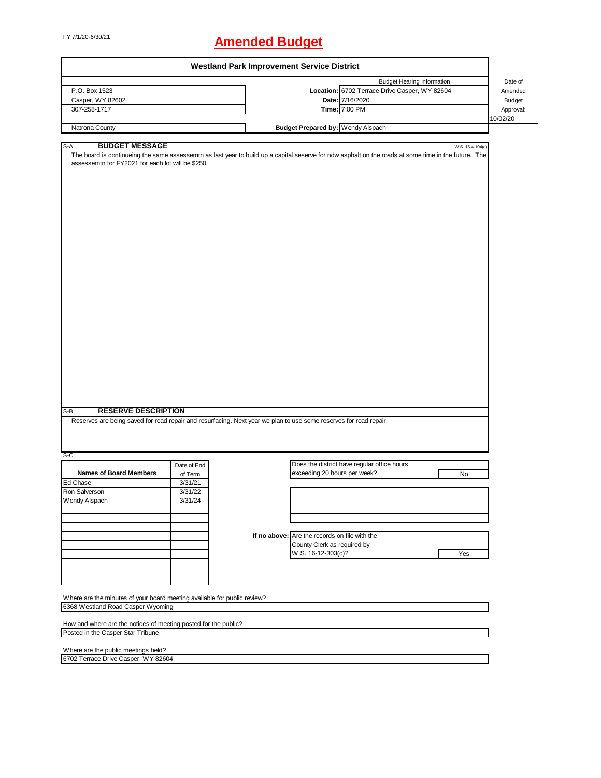# FY 7/1/20-6/30/21 **Amended Budget**

|                                                                                                                   |             | <b>Westland Park Improvement Service District</b> |                                               |                                                                                                                                                      |                  |
|-------------------------------------------------------------------------------------------------------------------|-------------|---------------------------------------------------|-----------------------------------------------|------------------------------------------------------------------------------------------------------------------------------------------------------|------------------|
|                                                                                                                   |             |                                                   |                                               | <b>Budget Hearing Information</b>                                                                                                                    | Date of          |
| P.O. Box 1523                                                                                                     |             |                                                   |                                               | Location: 6702 Terrace Drive Casper, WY 82604                                                                                                        | Amended          |
| Casper, WY 82602                                                                                                  |             |                                                   |                                               | Date: 7/16/2020                                                                                                                                      | Budget           |
| 307-258-1717                                                                                                      |             |                                                   |                                               | Time: 7:00 PM                                                                                                                                        | Approval:        |
|                                                                                                                   |             |                                                   |                                               |                                                                                                                                                      | 10/02/20         |
| Natrona County                                                                                                    |             |                                                   | Budget Prepared by: Wendy Alspach             |                                                                                                                                                      |                  |
|                                                                                                                   |             |                                                   |                                               |                                                                                                                                                      |                  |
| <b>BUDGET MESSAGE</b><br>S-A                                                                                      |             |                                                   |                                               |                                                                                                                                                      | W.S. 16-4-104(d) |
|                                                                                                                   |             |                                                   |                                               | The board is continueing the same assessemtn as last year to build up a capital seserve for ndw asphalt on the roads at some time in the future. The |                  |
| assessemtn for FY2021 for each lot will be \$250.                                                                 |             |                                                   |                                               |                                                                                                                                                      |                  |
|                                                                                                                   |             |                                                   |                                               |                                                                                                                                                      |                  |
|                                                                                                                   |             |                                                   |                                               |                                                                                                                                                      |                  |
|                                                                                                                   |             |                                                   |                                               |                                                                                                                                                      |                  |
|                                                                                                                   |             |                                                   |                                               |                                                                                                                                                      |                  |
|                                                                                                                   |             |                                                   |                                               |                                                                                                                                                      |                  |
|                                                                                                                   |             |                                                   |                                               |                                                                                                                                                      |                  |
|                                                                                                                   |             |                                                   |                                               |                                                                                                                                                      |                  |
|                                                                                                                   |             |                                                   |                                               |                                                                                                                                                      |                  |
|                                                                                                                   |             |                                                   |                                               |                                                                                                                                                      |                  |
|                                                                                                                   |             |                                                   |                                               |                                                                                                                                                      |                  |
|                                                                                                                   |             |                                                   |                                               |                                                                                                                                                      |                  |
|                                                                                                                   |             |                                                   |                                               |                                                                                                                                                      |                  |
|                                                                                                                   |             |                                                   |                                               |                                                                                                                                                      |                  |
|                                                                                                                   |             |                                                   |                                               |                                                                                                                                                      |                  |
|                                                                                                                   |             |                                                   |                                               |                                                                                                                                                      |                  |
|                                                                                                                   |             |                                                   |                                               |                                                                                                                                                      |                  |
|                                                                                                                   |             |                                                   |                                               |                                                                                                                                                      |                  |
|                                                                                                                   |             |                                                   |                                               |                                                                                                                                                      |                  |
|                                                                                                                   |             |                                                   |                                               |                                                                                                                                                      |                  |
|                                                                                                                   |             |                                                   |                                               |                                                                                                                                                      |                  |
|                                                                                                                   |             |                                                   |                                               |                                                                                                                                                      |                  |
|                                                                                                                   |             |                                                   |                                               |                                                                                                                                                      |                  |
|                                                                                                                   |             |                                                   |                                               |                                                                                                                                                      |                  |
|                                                                                                                   |             |                                                   |                                               |                                                                                                                                                      |                  |
|                                                                                                                   |             |                                                   |                                               |                                                                                                                                                      |                  |
| <b>RESERVE DESCRIPTION</b><br>$S-B$                                                                               |             |                                                   |                                               |                                                                                                                                                      |                  |
| Reserves are being saved for road repair and resurfacing. Next year we plan to use some reserves for road repair. |             |                                                   |                                               |                                                                                                                                                      |                  |
|                                                                                                                   |             |                                                   |                                               |                                                                                                                                                      |                  |
|                                                                                                                   |             |                                                   |                                               |                                                                                                                                                      |                  |
|                                                                                                                   |             |                                                   |                                               |                                                                                                                                                      |                  |
| $S-C$                                                                                                             |             |                                                   |                                               |                                                                                                                                                      |                  |
|                                                                                                                   | Date of End |                                                   |                                               | Does the district have regular office hours                                                                                                          |                  |
| <b>Names of Board Members</b>                                                                                     | of Term     |                                                   | exceeding 20 hours per week?                  | No                                                                                                                                                   |                  |
| Ed Chase                                                                                                          | 3/31/21     |                                                   |                                               |                                                                                                                                                      |                  |
| Ron Salverson                                                                                                     | 3/31/22     |                                                   |                                               |                                                                                                                                                      |                  |
| Wendy Alspach                                                                                                     | 3/31/24     |                                                   |                                               |                                                                                                                                                      |                  |
|                                                                                                                   |             |                                                   |                                               |                                                                                                                                                      |                  |
|                                                                                                                   |             |                                                   |                                               |                                                                                                                                                      |                  |
|                                                                                                                   |             |                                                   |                                               |                                                                                                                                                      |                  |
|                                                                                                                   |             |                                                   | If no above: Are the records on file with the |                                                                                                                                                      |                  |
|                                                                                                                   |             |                                                   | County Clerk as required by                   |                                                                                                                                                      |                  |
|                                                                                                                   |             |                                                   | W.S. 16-12-303(c)?                            | Yes                                                                                                                                                  |                  |
|                                                                                                                   |             |                                                   |                                               |                                                                                                                                                      |                  |
|                                                                                                                   |             |                                                   |                                               |                                                                                                                                                      |                  |
|                                                                                                                   |             |                                                   |                                               |                                                                                                                                                      |                  |
|                                                                                                                   |             |                                                   |                                               |                                                                                                                                                      |                  |
| Where are the minutes of your board meeting available for public review?                                          |             |                                                   |                                               |                                                                                                                                                      |                  |
| 6368 Westland Road Casper Wyoming                                                                                 |             |                                                   |                                               |                                                                                                                                                      |                  |
|                                                                                                                   |             |                                                   |                                               |                                                                                                                                                      |                  |
| How and where are the notices of meeting posted for the public?                                                   |             |                                                   |                                               |                                                                                                                                                      |                  |
| Posted in the Casper Star Tribune                                                                                 |             |                                                   |                                               |                                                                                                                                                      |                  |
|                                                                                                                   |             |                                                   |                                               |                                                                                                                                                      |                  |
| Where are the public meetings held?<br>6702 Terrace Drive Casper, WY 82604                                        |             |                                                   |                                               |                                                                                                                                                      |                  |
|                                                                                                                   |             |                                                   |                                               |                                                                                                                                                      |                  |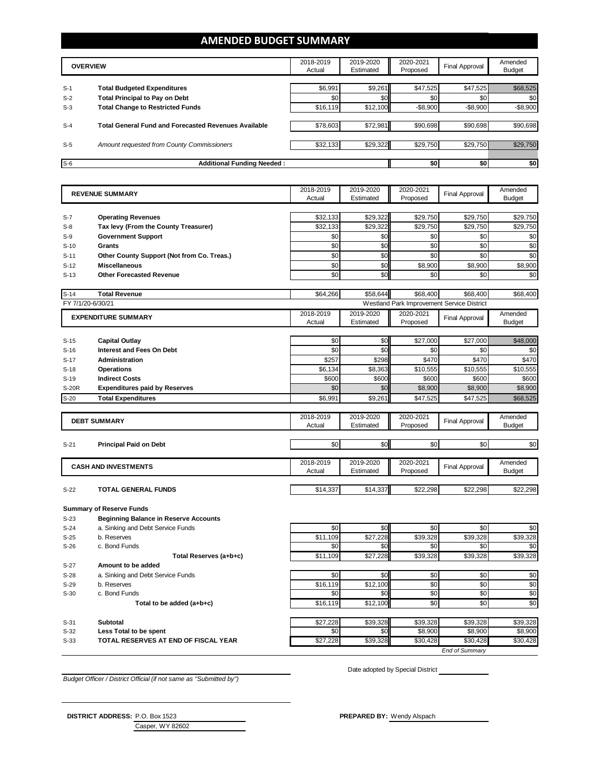#### **AMENDED BUDGET SUMMARY**

|       | <b>OVERVIEW</b>                                             | 2018-2019<br>Actual | 2019-2020<br>Estimated | 2020-2021<br>Proposed | Final Approval | Amended<br><b>Budget</b> |
|-------|-------------------------------------------------------------|---------------------|------------------------|-----------------------|----------------|--------------------------|
| $S-1$ | <b>Total Budgeted Expenditures</b>                          | \$6,991             | \$9,261                | \$47,525              | \$47,525       | \$68,525                 |
| $S-2$ | <b>Total Principal to Pay on Debt</b>                       | \$0                 | \$0                    | \$0                   | \$0            | \$0                      |
| $S-3$ | <b>Total Change to Restricted Funds</b>                     | \$16,119            | \$12,100               | $-$8,900$             | $-$8,900$      | $-$8,900$                |
| $S-4$ | <b>Total General Fund and Forecasted Revenues Available</b> | \$78,603            | \$72,981               | \$90,698              | \$90,698       | \$90,698                 |
| $S-5$ | Amount requested from County Commissioners                  | \$32,133            | \$29,322               | \$29,750              | \$29,750       | \$29,750                 |
| $S-6$ | <b>Additional Funding Needed:</b>                           |                     |                        | \$0                   | \$0            | \$0                      |

| <b>REVENUE SUMMARY</b><br>Actual<br>Estimated<br>Proposed                                                                  | <b>Final Approval</b> | Amended                  |
|----------------------------------------------------------------------------------------------------------------------------|-----------------------|--------------------------|
|                                                                                                                            |                       | <b>Budget</b>            |
|                                                                                                                            |                       |                          |
| \$29,322<br>\$29,750<br><b>Operating Revenues</b><br>\$32,133<br>$S-7$                                                     | \$29,750              | \$29,750                 |
| \$29,322<br>Tax levy (From the County Treasurer)<br>\$32,133<br>\$29,750<br>$S-8$                                          | \$29,750              | \$29,750                 |
| \$0<br>\$0<br>\$0<br>$S-9$<br><b>Government Support</b>                                                                    | \$0                   | \$0                      |
| \$0<br>\$0<br>$\overline{50}$<br>Grants<br>$S-10$                                                                          | \$0                   | \$0                      |
| \$0<br>\$0<br>\$0<br>$S-11$<br>Other County Support (Not from Co. Treas.)                                                  | \$0                   | \$0                      |
| \$0<br>\$0<br>\$8,900<br>$S-12$<br><b>Miscellaneous</b>                                                                    | \$8,900               | \$8,900                  |
| \$0<br>\$0<br>\$0<br>$S-13$<br><b>Other Forecasted Revenue</b>                                                             | \$0                   | \$0                      |
| \$68,400<br>$S-14$<br>\$64,266<br>\$58,644<br><b>Total Revenue</b>                                                         | \$68,400              | \$68,400                 |
| FY 7/1/20-6/30/21<br>Westland Park Improvement Service District                                                            |                       |                          |
| 2018-2019<br>2019-2020<br>2020-2021<br><b>EXPENDITURE SUMMARY</b><br>Actual<br>Estimated<br>Proposed                       | <b>Final Approval</b> | Amended<br><b>Budget</b> |
|                                                                                                                            |                       |                          |
| \$0<br>\$0<br>\$27,000<br><b>Capital Outlay</b><br>$S-15$                                                                  | \$27,000              | \$48,000                 |
| \$0<br>\$0<br>\$0<br><b>Interest and Fees On Debt</b><br>$S-16$                                                            | \$0                   | \$0                      |
| \$298<br>\$257<br>\$470<br><b>Administration</b><br>$S-17$                                                                 | \$470                 | \$470                    |
| \$6,134<br>\$8,363<br>\$10,555<br><b>Operations</b><br>$S-18$                                                              | \$10,555              | \$10,555                 |
| \$600<br>\$600<br>$S-19$<br><b>Indirect Costs</b><br>\$600                                                                 | \$600                 | \$600                    |
| \$0<br>\$0<br>\$8,900<br>S-20R<br><b>Expenditures paid by Reserves</b>                                                     | \$8,900               | \$8,900                  |
| $S-20$<br>\$6,991<br>\$9,261<br>\$47,525<br><b>Total Expenditures</b>                                                      | \$47,525              | \$68,525                 |
|                                                                                                                            |                       |                          |
| 2018-2019<br>2019-2020<br>2020-2021<br><b>DEBT SUMMARY</b><br>Actual<br>Estimated<br>Proposed                              | <b>Final Approval</b> | Amended<br><b>Budget</b> |
|                                                                                                                            |                       |                          |
| \$0<br>\$0<br>\$0<br>$S-21$<br><b>Principal Paid on Debt</b>                                                               | \$0                   | \$0                      |
|                                                                                                                            |                       |                          |
| 2018-2019<br>2019-2020<br>2020-2021<br><b>CASH AND INVESTMENTS</b>                                                         | <b>Final Approval</b> | Amended                  |
| Actual<br>Estimated<br>Proposed                                                                                            |                       | <b>Budget</b>            |
| \$14,337<br>\$14,337<br>\$22,298<br>$S-22$<br><b>TOTAL GENERAL FUNDS</b>                                                   | \$22,298              | \$22,298                 |
|                                                                                                                            |                       |                          |
| <b>Summary of Reserve Funds</b>                                                                                            |                       |                          |
| $S-23$<br><b>Beginning Balance in Reserve Accounts</b>                                                                     |                       |                          |
| \$0<br>\$0<br>\$0<br>$S-24$<br>a. Sinking and Debt Service Funds                                                           | \$0                   | \$0                      |
| \$27,228<br>\$11,109<br>\$39,328<br>$S-25$<br>b. Reserves                                                                  | \$39,328              | \$39,328                 |
| \$0<br>\$0<br>\$0<br>c. Bond Funds<br>$S-26$                                                                               | \$0                   | \$0                      |
| \$11,109<br>\$27,228<br>\$39,328<br>Total Reserves (a+b+c)<br>$S-27$<br>Amount to be added                                 | \$39,328              | \$39,328                 |
| \$0<br>\$0<br>\$0<br>$S-28$                                                                                                | \$0                   | \$0                      |
| a. Sinking and Debt Service Funds<br>\$0<br>\$16,119<br>\$12,100<br>b. Reserves<br>$S-29$                                  | \$0                   | \$0                      |
| \$0<br>\$0<br>\$0<br>c. Bond Funds<br>$S-30$                                                                               | \$0                   | \$0                      |
| \$16,119<br>\$12,100<br>\$0<br>Total to be added (a+b+c)                                                                   | \$0                   | \$0                      |
|                                                                                                                            |                       |                          |
| \$27,228<br>\$39,328<br>\$39,328<br>$S-31$<br><b>Subtotal</b><br>\$0<br>\$0<br>\$8,900<br>$S-32$<br>Less Total to be spent | \$39,328<br>\$8,900   | \$39,328<br>\$8,900      |

*Budget Officer / District Official (if not same as "Submitted by")*

Date adopted by Special District

*End of Summary*

 $\overline{ }$ 

**DISTRICT ADDRESS:** P.O. Box 1523 **PREPARED BY:** Wendy Alspach

Casper, WY 82602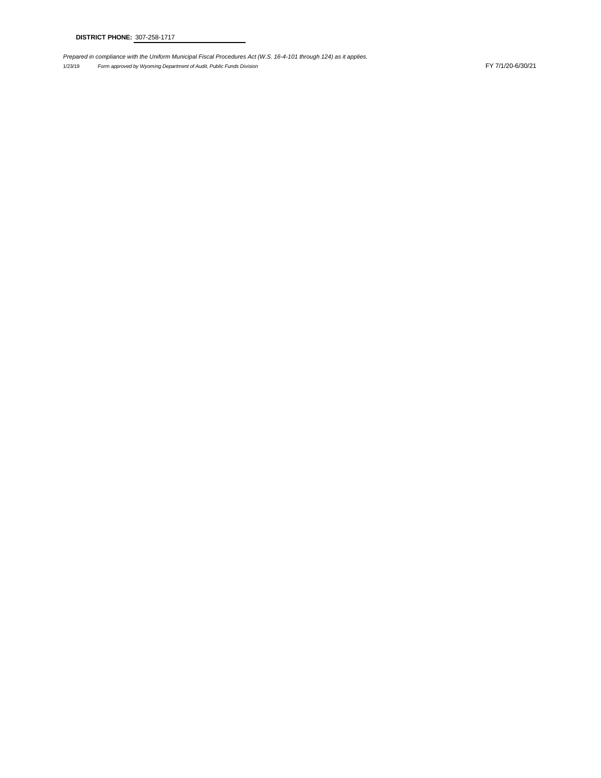*Prepared in compliance with the Uniform Municipal Fiscal Procedures Act (W.S. 16-4-101 through 124) as it applies.*

1/23/19 *Form approved by Wyoming Department of Audit, Public Funds Division* FY 7/1/20-6/30/21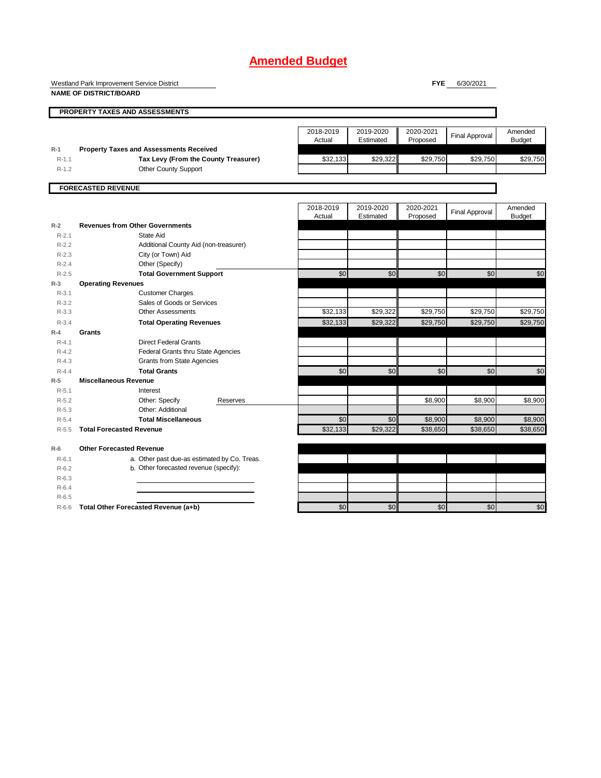Westland Park Improvement Service District

**NAME OF DISTRICT/BOARD**

**FYE** 6/30/2021

|                    | PROPERTY TAXES AND ASSESSMENTS                                      |                     |                        |                       |                       |                          |
|--------------------|---------------------------------------------------------------------|---------------------|------------------------|-----------------------|-----------------------|--------------------------|
|                    |                                                                     | 2018-2019<br>Actual | 2019-2020<br>Estimated | 2020-2021<br>Proposed | <b>Final Approval</b> | Amended<br><b>Budget</b> |
| $R-1$              | <b>Property Taxes and Assessments Received</b>                      |                     |                        |                       |                       |                          |
| $R-1.1$<br>$R-1.2$ | Tax Levy (From the County Treasurer)<br><b>Other County Support</b> | \$32,133            | \$29,322               | \$29,750              | \$29,750              | \$29,750                 |
|                    |                                                                     |                     |                        |                       |                       |                          |
|                    | <b>FORECASTED REVENUE</b>                                           |                     |                        |                       |                       |                          |
|                    |                                                                     |                     |                        |                       |                       |                          |
|                    |                                                                     | 2018-2019           | 2019-2020              | 2020-2021             | <b>Final Approval</b> | Amended                  |
|                    |                                                                     | Actual              | Estimated              | Proposed              |                       | <b>Budget</b>            |
| $R-2$              | <b>Revenues from Other Governments</b>                              |                     |                        |                       |                       |                          |
| $R-2.1$            | State Aid                                                           |                     |                        |                       |                       |                          |
| $R-2.2$            | Additional County Aid (non-treasurer)                               |                     |                        |                       |                       |                          |
| $R-2.3$            | City (or Town) Aid                                                  |                     |                        |                       |                       |                          |
| $R - 2.4$          | Other (Specify)                                                     |                     |                        |                       |                       |                          |
| $R-2.5$            | <b>Total Government Support</b>                                     | \$0                 | \$0                    | \$0                   | \$0                   | \$0                      |
| $R-3$              | <b>Operating Revenues</b>                                           |                     |                        |                       |                       |                          |
| $R-3.1$            | <b>Customer Charges</b>                                             |                     |                        |                       |                       |                          |
| $R - 3.2$          | Sales of Goods or Services                                          |                     |                        |                       |                       |                          |
| $R - 3.3$          | <b>Other Assessments</b>                                            | \$32,133            | \$29,322               | \$29,750              | \$29,750              | \$29,750                 |
| $R - 3.4$          | <b>Total Operating Revenues</b>                                     | \$32,133            | \$29,322               | \$29,750              | \$29,750              | \$29,750                 |
| $R-4$              | Grants                                                              |                     |                        |                       |                       |                          |
| $R - 4.1$          | <b>Direct Federal Grants</b>                                        |                     |                        |                       |                       |                          |
| $R-4.2$            | Federal Grants thru State Agencies                                  |                     |                        |                       |                       |                          |
| $R-4.3$            | <b>Grants from State Agencies</b>                                   |                     |                        |                       |                       |                          |
| $R - 4.4$          | <b>Total Grants</b>                                                 | \$0                 | \$0                    | \$0                   | \$0                   | \$0                      |
| $R-5$              | <b>Miscellaneous Revenue</b>                                        |                     |                        |                       |                       |                          |
| $R-5.1$            | Interest                                                            |                     |                        |                       |                       |                          |
| $R-5.2$            | Other: Specify<br>Reserves                                          |                     |                        | \$8,900               | \$8,900               | \$8,900                  |
| $R-5.3$            | Other: Additional                                                   |                     |                        |                       |                       |                          |
| $R-5.4$            | <b>Total Miscellaneous</b>                                          | \$0                 | \$0                    | \$8,900               | \$8,900               | \$8,900                  |
| $R-5.5$            | <b>Total Forecasted Revenue</b>                                     | \$32,133            | \$29,322               | \$38,650              | \$38,650              | \$38,650                 |
|                    |                                                                     |                     |                        |                       |                       |                          |
| $R-6$              | <b>Other Forecasted Revenue</b>                                     |                     |                        |                       |                       |                          |
| $R-6.1$            | a. Other past due-as estimated by Co. Treas.                        |                     |                        |                       |                       |                          |
| $R-6.2$            | b. Other forecasted revenue (specify):                              |                     |                        |                       |                       |                          |
| $R-6.3$            |                                                                     |                     |                        |                       |                       |                          |
| $R-6.4$            |                                                                     |                     |                        |                       |                       |                          |
| $R-6.5$            |                                                                     |                     |                        |                       |                       |                          |
| $R-6.6$            | Total Other Forecasted Revenue (a+b)                                | \$0                 | \$0                    | \$0                   | \$0                   | \$0                      |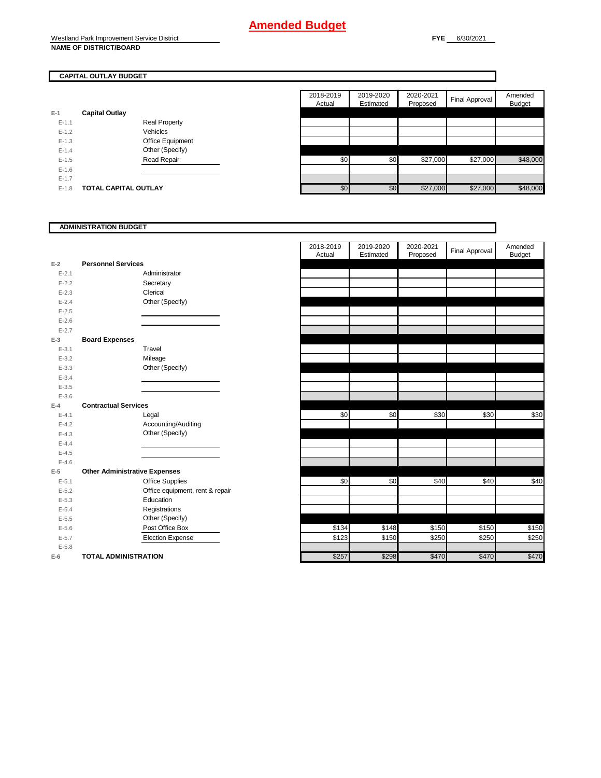#### **CAPITAL OUTLAY BUDGET**

| $E-1$     | <b>Capital Outlay</b> |                         |  |
|-----------|-----------------------|-------------------------|--|
| $E - 1.1$ |                       | <b>Real Property</b>    |  |
| $F-12$    |                       | Vehicles                |  |
| $E - 1.3$ |                       | <b>Office Equipment</b> |  |
| $F-14$    |                       | Other (Specify)         |  |
| $E - 1.5$ |                       | Road Repair             |  |
| $E - 1.6$ |                       |                         |  |
| $E - 1.7$ |                       |                         |  |
| $E - 1.8$ | TOTAL CAPITAL OUTLAY  |                         |  |

| 2018-2019<br>2019-2020<br>2020-2021<br><b>Final Approval</b><br>Estimated<br>Proposed<br>Actual<br><b>Capital Outlay</b><br><b>Real Property</b><br>$E-1.1$<br>$E-1.2$<br><b>Vehicles</b><br>$E-1.3$<br>Office Equipment<br>Other (Specify)<br>$E-1.4$ | Amended<br><b>Budget</b> |
|--------------------------------------------------------------------------------------------------------------------------------------------------------------------------------------------------------------------------------------------------------|--------------------------|
|                                                                                                                                                                                                                                                        |                          |
|                                                                                                                                                                                                                                                        |                          |
|                                                                                                                                                                                                                                                        |                          |
|                                                                                                                                                                                                                                                        |                          |
|                                                                                                                                                                                                                                                        |                          |
|                                                                                                                                                                                                                                                        |                          |
|                                                                                                                                                                                                                                                        |                          |
| \$27,000<br>\$27,000<br>\$0<br>$E-1.5$<br>Road Repair<br>\$0                                                                                                                                                                                           | \$48,000                 |
| $E-1.6$                                                                                                                                                                                                                                                |                          |
| $E-1.7$                                                                                                                                                                                                                                                |                          |
| \$27,000<br>\$0<br>\$27,000<br>\$0<br><b>TOTAL CAPITAL OUTLAY</b><br>$E-1.8$                                                                                                                                                                           | \$48,000                 |

|           | <b>ADMINISTRATION BUDGET</b>         |                     |                        |                       |                       |                          |
|-----------|--------------------------------------|---------------------|------------------------|-----------------------|-----------------------|--------------------------|
|           |                                      | 2018-2019<br>Actual | 2019-2020<br>Estimated | 2020-2021<br>Proposed | <b>Final Approval</b> | Amended<br><b>Budget</b> |
| $E-2$     | <b>Personnel Services</b>            |                     |                        |                       |                       |                          |
| $E - 2.1$ | Administrator                        |                     |                        |                       |                       |                          |
| $E - 2.2$ | Secretary                            |                     |                        |                       |                       |                          |
| $E - 2.3$ | Clerical                             |                     |                        |                       |                       |                          |
| $E - 2.4$ | Other (Specify)                      |                     |                        |                       |                       |                          |
| $E - 2.5$ |                                      |                     |                        |                       |                       |                          |
| $E - 2.6$ |                                      |                     |                        |                       |                       |                          |
| $E - 2.7$ |                                      |                     |                        |                       |                       |                          |
| $E-3$     | <b>Board Expenses</b>                |                     |                        |                       |                       |                          |
| $E - 3.1$ | Travel                               |                     |                        |                       |                       |                          |
| $E - 3.2$ | Mileage                              |                     |                        |                       |                       |                          |
| $E - 3.3$ | Other (Specify)                      |                     |                        |                       |                       |                          |
| $E - 3.4$ |                                      |                     |                        |                       |                       |                          |
| $E - 3.5$ |                                      |                     |                        |                       |                       |                          |
| $E - 3.6$ |                                      |                     |                        |                       |                       |                          |
| $E-4$     | <b>Contractual Services</b>          |                     |                        |                       |                       |                          |
| $E - 4.1$ | Legal                                | \$0                 | \$0                    | \$30                  | \$30                  | \$30                     |
| $E - 4.2$ | Accounting/Auditing                  |                     |                        |                       |                       |                          |
| $E - 4.3$ | Other (Specify)                      |                     |                        |                       |                       |                          |
| $E - 4.4$ |                                      |                     |                        |                       |                       |                          |
| $E - 4.5$ |                                      |                     |                        |                       |                       |                          |
| $E-4.6$   |                                      |                     |                        |                       |                       |                          |
| $E-5$     | <b>Other Administrative Expenses</b> |                     |                        |                       |                       |                          |
| $E-5.1$   | <b>Office Supplies</b>               | \$0                 | \$0                    | \$40                  | \$40                  | \$40                     |
| $E - 5.2$ | Office equipment, rent & repair      |                     |                        |                       |                       |                          |
| $E - 5.3$ | Education                            |                     |                        |                       |                       |                          |
| $E - 5.4$ | Registrations                        |                     |                        |                       |                       |                          |
| $E - 5.5$ | Other (Specify)                      |                     |                        |                       |                       |                          |
| $E - 5.6$ | Post Office Box                      | \$134               | \$148                  | \$150                 | \$150                 | \$150                    |
| $E - 5.7$ | <b>Election Expense</b>              | \$123               | \$150                  | \$250                 | \$250                 | \$250                    |
| $E - 5.8$ |                                      |                     |                        |                       |                       |                          |
| $E-6$     | <b>TOTAL ADMINISTRATION</b>          | \$257               | \$298                  | \$470                 | \$470                 | \$470                    |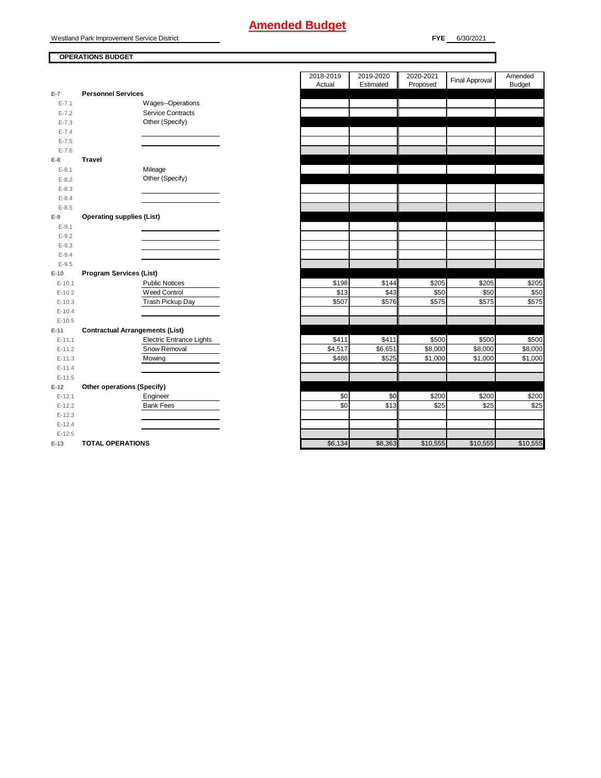Westland Park Improvement Service District

**OPERATIONS BUDGET**

**FYE** 6/30/2021

|           |                                        |                                 | 2018-2019<br>Actual | 2019-2020<br>Estimated | 2020-2021<br>Proposed | <b>Final Approval</b> | Amended<br><b>Budget</b> |
|-----------|----------------------------------------|---------------------------------|---------------------|------------------------|-----------------------|-----------------------|--------------------------|
| $E-7$     | <b>Personnel Services</b>              |                                 |                     |                        |                       |                       |                          |
| $E - 7.1$ |                                        | Wages--Operations               |                     |                        |                       |                       |                          |
| $E - 7.2$ |                                        | <b>Service Contracts</b>        |                     |                        |                       |                       |                          |
| $E - 7.3$ |                                        | Other (Specify)                 |                     |                        |                       |                       |                          |
| $E - 7.4$ |                                        |                                 |                     |                        |                       |                       |                          |
| $E - 7.5$ |                                        |                                 |                     |                        |                       |                       |                          |
| $E - 7.6$ |                                        |                                 |                     |                        |                       |                       |                          |
| $E-8$     | <b>Travel</b>                          |                                 |                     |                        |                       |                       |                          |
| $E - 8.1$ |                                        | Mileage                         |                     |                        |                       |                       |                          |
| $E-8.2$   |                                        | Other (Specify)                 |                     |                        |                       |                       |                          |
| $E - 8.3$ |                                        |                                 |                     |                        |                       |                       |                          |
| $E - 8.4$ |                                        |                                 |                     |                        |                       |                       |                          |
| $E - 8.5$ |                                        |                                 |                     |                        |                       |                       |                          |
| $E-9$     | <b>Operating supplies (List)</b>       |                                 |                     |                        |                       |                       |                          |
| $E-9.1$   |                                        |                                 |                     |                        |                       |                       |                          |
| $E-9.2$   |                                        |                                 |                     |                        |                       |                       |                          |
| $E-9.3$   |                                        |                                 |                     |                        |                       |                       |                          |
| $E - 9.4$ |                                        |                                 |                     |                        |                       |                       |                          |
| $E-9.5$   |                                        |                                 |                     |                        |                       |                       |                          |
| $E-10$    | <b>Program Services (List)</b>         |                                 |                     |                        |                       |                       |                          |
| $E-10.1$  |                                        | Public Notices                  | \$198               | \$144                  | \$205                 | \$205                 | \$205                    |
| $E-10.2$  |                                        | <b>Weed Control</b>             | \$13                | \$43                   | \$50                  | \$50                  | \$50                     |
| $E-10.3$  |                                        | Trash Pickup Day                | \$507               | \$576                  | \$575                 | \$575                 | \$575                    |
| $E-10.4$  |                                        |                                 |                     |                        |                       |                       |                          |
| $E-10.5$  |                                        |                                 |                     |                        |                       |                       |                          |
| $E-11$    | <b>Contractual Arrangements (List)</b> |                                 |                     |                        |                       |                       |                          |
| $E-11.1$  |                                        | <b>Electric Entrance Lights</b> | \$411               | \$411                  | \$500                 | \$500                 | \$500                    |
| $E-11.2$  |                                        | Snow Removal                    | \$4,517             | \$6,651                | \$8,000               | \$8,000               | \$8,000                  |
| $E-11.3$  |                                        | Mowing                          | \$488               | \$525                  | \$1,000               | \$1,000               | \$1,000                  |
| $E-11.4$  |                                        |                                 |                     |                        |                       |                       |                          |
| $E-11.5$  |                                        |                                 |                     |                        |                       |                       |                          |
| $E-12$    | Other operations (Specify)             |                                 |                     |                        |                       |                       |                          |
| $E-12.1$  |                                        | Engineer                        | \$0                 | \$0                    | \$200                 | \$200                 | \$200                    |
| $E-12.2$  |                                        | <b>Bank Fees</b>                | \$0                 | \$13                   | \$25                  | \$25                  | \$25                     |
| $E-12.3$  |                                        |                                 |                     |                        |                       |                       |                          |
| $E-12.4$  |                                        |                                 |                     |                        |                       |                       |                          |
| $E-12.5$  |                                        |                                 |                     |                        |                       |                       |                          |

**E-13 TOTAL OPERATIONS E-13 TOTAL OPERATIONS E-13 E-13 E-13 E-13 E-13 E-13 E-14 E-14 E-14 E-14 E-14 E-14 E-14 E-14 E-14 E-14 E-14 E-14 E-14 E-14 E-14 E-14 E-14 E-14 E**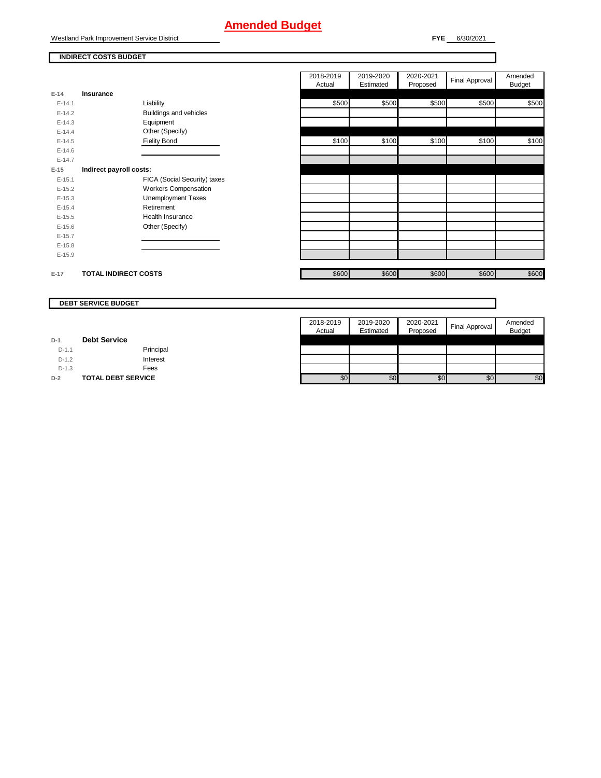Westland Park Improvement Service District

**INDIRECT COSTS BUDGET**

**FYE** 6/30/2021

| Insurance<br>Liability<br>Buildings and vehicles<br>Equipment<br>Other (Specify)<br><b>Fielity Bond</b> | \$500<br>\$100 | \$500<br>\$100 | \$500 | \$500 | \$500 |
|---------------------------------------------------------------------------------------------------------|----------------|----------------|-------|-------|-------|
|                                                                                                         |                |                |       |       |       |
|                                                                                                         |                |                |       |       |       |
|                                                                                                         |                |                |       |       |       |
|                                                                                                         |                |                |       |       |       |
|                                                                                                         |                |                |       |       |       |
|                                                                                                         |                |                | \$100 | \$100 | \$100 |
|                                                                                                         |                |                |       |       |       |
|                                                                                                         |                |                |       |       |       |
| Indirect payroll costs:                                                                                 |                |                |       |       |       |
| FICA (Social Security) taxes                                                                            |                |                |       |       |       |
| <b>Workers Compensation</b>                                                                             |                |                |       |       |       |
| Unemployment Taxes                                                                                      |                |                |       |       |       |
| Retirement                                                                                              |                |                |       |       |       |
| <b>Health Insurance</b>                                                                                 |                |                |       |       |       |
| Other (Specify)                                                                                         |                |                |       |       |       |
|                                                                                                         |                |                |       |       |       |
|                                                                                                         |                |                |       |       |       |
|                                                                                                         |                |                |       |       |       |
|                                                                                                         |                |                |       |       |       |
|                                                                                                         |                |                |       |       |       |

|         | <b>DEBT SERVICE BUDGET</b> |                     |                        |                       |                |                          |
|---------|----------------------------|---------------------|------------------------|-----------------------|----------------|--------------------------|
|         |                            | 2018-2019<br>Actual | 2019-2020<br>Estimated | 2020-2021<br>Proposed | Final Approval | Amended<br><b>Budget</b> |
| $D-1$   | <b>Debt Service</b>        |                     |                        |                       |                |                          |
| $D-1.1$ | Principal                  |                     |                        |                       |                |                          |
| $D-1.2$ | Interest                   |                     |                        |                       |                |                          |
| $D-1.3$ | Fees                       |                     |                        |                       |                |                          |
| $D-2$   | <b>TOTAL DEBT SERVICE</b>  | \$0                 | \$0                    | \$0                   | \$0            | \$0                      |